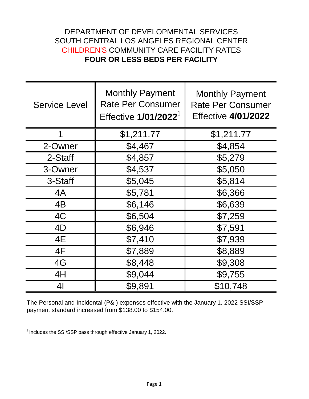## DEPARTMENT OF DEVELOPMENTAL SERVICES SOUTH CENTRAL LOS ANGELES REGIONAL CENTER CHILDREN'S COMMUNITY CARE FACILITY RATES **FOUR OR LESS BEDS PER FACILITY**

| <b>Service Level</b> | <b>Monthly Payment</b><br><b>Rate Per Consumer</b><br>Effective 1/01/2022 <sup>1</sup> | <b>Monthly Payment</b><br><b>Rate Per Consumer</b><br><b>Effective 4/01/2022</b> |
|----------------------|----------------------------------------------------------------------------------------|----------------------------------------------------------------------------------|
| 1                    | \$1,211.77                                                                             | \$1,211.77                                                                       |
| 2-Owner              | \$4,467                                                                                | \$4,854                                                                          |
| 2-Staff              | \$4,857                                                                                | \$5,279                                                                          |
| 3-Owner              | \$4,537                                                                                | \$5,050                                                                          |
| 3-Staff              | \$5,045                                                                                | \$5,814                                                                          |
| 4A                   | \$5,781                                                                                | \$6,366                                                                          |
| 4B                   | \$6,146                                                                                | \$6,639                                                                          |
| 4C                   | \$6,504                                                                                | \$7,259                                                                          |
| 4D                   | \$6,946                                                                                | \$7,591                                                                          |
| 4E                   | \$7,410                                                                                | \$7,939                                                                          |
| 4F                   | \$7,889                                                                                | \$8,889                                                                          |
| 4G                   | \$8,448                                                                                | \$9,308                                                                          |
| 4H                   | \$9,044                                                                                | \$9,755                                                                          |
| 4 <sub>l</sub>       | \$9,891                                                                                | \$10,748                                                                         |

The Personal and Incidental (P&I) expenses effective with the January 1, 2022 SSI/SSP payment standard increased from \$138.00 to \$154.00.

 $\frac{1}{1}$  Includes the SSI/SSP pass through effective January 1, 2022.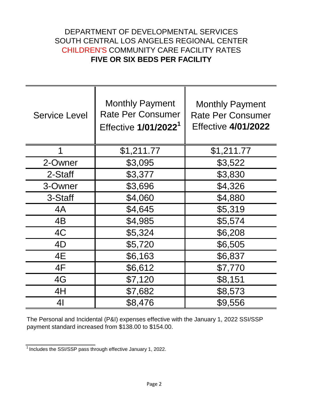## DEPARTMENT OF DEVELOPMENTAL SERVICES SOUTH CENTRAL LOS ANGELES REGIONAL CENTER CHILDREN'S COMMUNITY CARE FACILITY RATES **FIVE OR SIX BEDS PER FACILITY**

| <b>Service Level</b> | <b>Monthly Payment</b><br><b>Rate Per Consumer</b><br>Effective 1/01/2022 <sup>1</sup> | <b>Monthly Payment</b><br><b>Rate Per Consumer</b><br><b>Effective 4/01/2022</b> |
|----------------------|----------------------------------------------------------------------------------------|----------------------------------------------------------------------------------|
|                      | \$1,211.77                                                                             | \$1,211.77                                                                       |
| 2-Owner              | \$3,095                                                                                | \$3,522                                                                          |
| 2-Staff              | \$3,377                                                                                | \$3,830                                                                          |
| 3-Owner              | \$3,696                                                                                | \$4,326                                                                          |
| 3-Staff              | \$4,060                                                                                | \$4,880                                                                          |
| 4A                   | \$4,645                                                                                | \$5,319                                                                          |
| 4B                   | \$4,985                                                                                | \$5,574                                                                          |
| 4C                   | \$5,324                                                                                | \$6,208                                                                          |
| 4D                   | \$5,720                                                                                | \$6,505                                                                          |
| 4E                   | \$6,163                                                                                | \$6,837                                                                          |
| 4F                   | \$6,612                                                                                | \$7,770                                                                          |
| 4G                   | \$7,120                                                                                | \$8,151                                                                          |
| 4H                   | \$7,682                                                                                | \$8,573                                                                          |
| 41                   | \$8,476                                                                                | \$9,556                                                                          |

The Personal and Incidental (P&I) expenses effective with the January 1, 2022 SSI/SSP payment standard increased from \$138.00 to \$154.00.

 $\frac{1}{1}$  Includes the SSI/SSP pass through effective January 1, 2022.